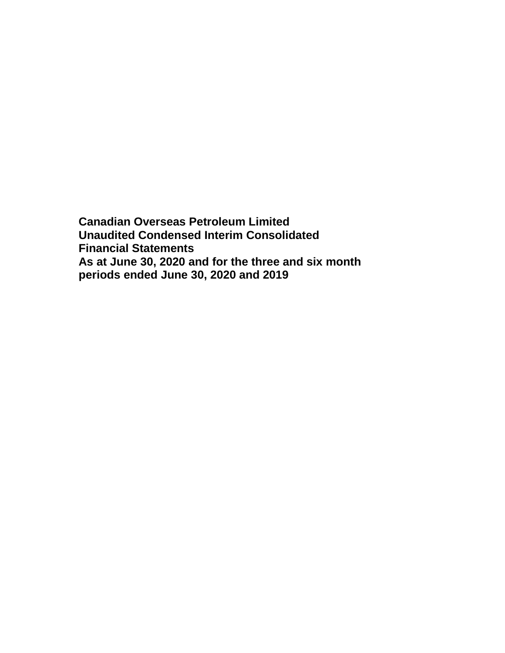**Canadian Overseas Petroleum Limited Unaudited Condensed Interim Consolidated Financial Statements As at June 30, 2020 and for the three and six month periods ended June 30, 2020 and 2019**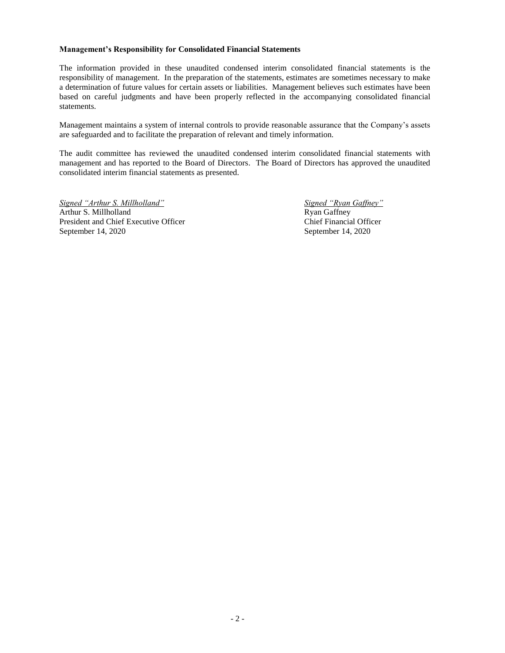#### **Management's Responsibility for Consolidated Financial Statements**

The information provided in these unaudited condensed interim consolidated financial statements is the responsibility of management. In the preparation of the statements, estimates are sometimes necessary to make a determination of future values for certain assets or liabilities. Management believes such estimates have been based on careful judgments and have been properly reflected in the accompanying consolidated financial statements.

Management maintains a system of internal controls to provide reasonable assurance that the Company's assets are safeguarded and to facilitate the preparation of relevant and timely information.

The audit committee has reviewed the unaudited condensed interim consolidated financial statements with management and has reported to the Board of Directors. The Board of Directors has approved the unaudited consolidated interim financial statements as presented.

*Signed "Arthur S. Millholland" Signed "Ryan Gaffney"* Arthur S. Millholland Ryan Gaffney President and Chief Executive Officer Chief Financial Officer September 14, 2020 September 14, 2020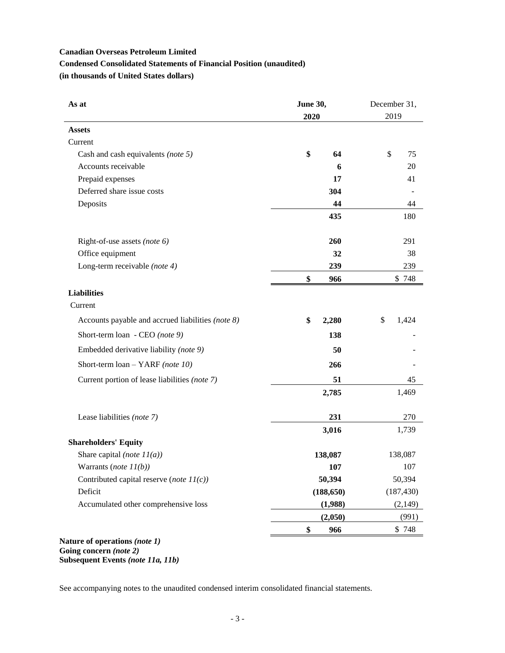# **Canadian Overseas Petroleum Limited Condensed Consolidated Statements of Financial Position (unaudited) (in thousands of United States dollars)**

| As at                                             | <b>June 30,</b> | December 31, |  |  |
|---------------------------------------------------|-----------------|--------------|--|--|
|                                                   | 2020            | 2019         |  |  |
| <b>Assets</b>                                     |                 |              |  |  |
| Current                                           |                 |              |  |  |
| Cash and cash equivalents (note 5)                | \$<br>64        | \$<br>75     |  |  |
| Accounts receivable                               | 6               | 20           |  |  |
| Prepaid expenses                                  | 17              | 41           |  |  |
| Deferred share issue costs                        | 304             |              |  |  |
| Deposits                                          | 44              | 44           |  |  |
|                                                   | 435             | 180          |  |  |
| Right-of-use assets (note 6)                      | 260             | 291          |  |  |
| Office equipment                                  | 32              | 38           |  |  |
| Long-term receivable (note 4)                     | 239             | 239          |  |  |
|                                                   | \$<br>966       | \$748        |  |  |
| <b>Liabilities</b>                                |                 |              |  |  |
| Current                                           |                 |              |  |  |
| Accounts payable and accrued liabilities (note 8) | \$<br>2,280     | \$<br>1,424  |  |  |
| Short-term loan - CEO (note 9)                    | 138             |              |  |  |
| Embedded derivative liability (note 9)            | 50              |              |  |  |
| Short-term loan - YARF (note 10)                  | 266             |              |  |  |
| Current portion of lease liabilities (note 7)     | 51              | 45           |  |  |
|                                                   | 2,785           | 1,469        |  |  |
| Lease liabilities (note 7)                        | 231             | 270          |  |  |
|                                                   | 3,016           | 1,739        |  |  |
| <b>Shareholders' Equity</b>                       |                 |              |  |  |
| Share capital (note $11(a)$ )                     | 138,087         | 138,087      |  |  |
| Warrants ( <i>note</i> $11(b)$ )                  | 107             | 107          |  |  |
| Contributed capital reserve (note $11(c)$ )       | 50,394          | 50,394       |  |  |
| Deficit                                           | (188, 650)      | (187, 430)   |  |  |
| Accumulated other comprehensive loss              | (1,988)         | (2,149)      |  |  |
|                                                   | (2,050)         | (991)        |  |  |
|                                                   | 966<br>\$       | \$748        |  |  |

### **Nature of operations** *(note 1)* **Going concern** *(note 2)* **Subsequent Events** *(note 11a, 11b)*

See accompanying notes to the unaudited condensed interim consolidated financial statements.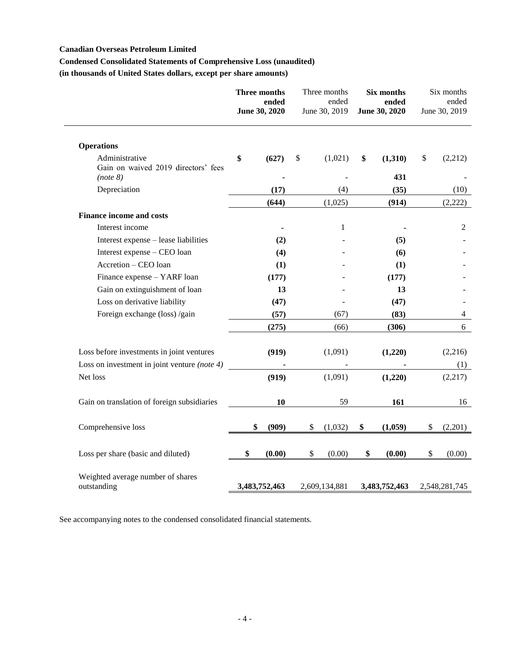# **Canadian Overseas Petroleum Limited**

# **Condensed Consolidated Statements of Comprehensive Loss (unaudited)**

**(in thousands of United States dollars, except per share amounts)**

|                                                                   | Three months<br>ended<br>June 30, 2020 |               |    |               | Three months<br>ended<br>June 30, 2019 |               | Six months<br>ended<br>June 30, 2020 |  |  |  |  |  | Six months<br>ended<br>June 30, 2019 |
|-------------------------------------------------------------------|----------------------------------------|---------------|----|---------------|----------------------------------------|---------------|--------------------------------------|--|--|--|--|--|--------------------------------------|
| <b>Operations</b>                                                 |                                        |               |    |               |                                        |               |                                      |  |  |  |  |  |                                      |
| Administrative<br>Gain on waived 2019 directors' fees<br>(note 8) | \$                                     | (627)         | \$ | (1,021)       | \$<br>(1,310)<br>431                   | \$<br>(2,212) |                                      |  |  |  |  |  |                                      |
| Depreciation                                                      |                                        | (17)          |    | (4)           | (35)                                   | (10)          |                                      |  |  |  |  |  |                                      |
|                                                                   |                                        | (644)         |    | (1,025)       | (914)                                  | (2,222)       |                                      |  |  |  |  |  |                                      |
| <b>Finance income and costs</b>                                   |                                        |               |    |               |                                        |               |                                      |  |  |  |  |  |                                      |
| Interest income                                                   |                                        |               |    | 1             |                                        | 2             |                                      |  |  |  |  |  |                                      |
| Interest expense - lease liabilities                              |                                        | (2)           |    |               | (5)                                    |               |                                      |  |  |  |  |  |                                      |
| Interest expense - CEO loan                                       |                                        | (4)           |    |               | (6)                                    |               |                                      |  |  |  |  |  |                                      |
| Accretion - CEO loan                                              |                                        | (1)           |    |               | (1)                                    |               |                                      |  |  |  |  |  |                                      |
| Finance expense - YARF loan                                       |                                        | (177)         |    |               | (177)                                  |               |                                      |  |  |  |  |  |                                      |
| Gain on extinguishment of loan                                    |                                        | 13            |    |               | 13                                     |               |                                      |  |  |  |  |  |                                      |
| Loss on derivative liability                                      |                                        | (47)          |    |               | (47)                                   |               |                                      |  |  |  |  |  |                                      |
| Foreign exchange (loss) /gain                                     |                                        | (57)          |    | (67)          | (83)                                   | 4             |                                      |  |  |  |  |  |                                      |
|                                                                   |                                        | (275)         |    | (66)          | (306)                                  | 6             |                                      |  |  |  |  |  |                                      |
| Loss before investments in joint ventures                         |                                        | (919)         |    | (1,091)       | (1,220)                                | (2,216)       |                                      |  |  |  |  |  |                                      |
| Loss on investment in joint venture (note 4)                      |                                        |               |    |               |                                        | (1)           |                                      |  |  |  |  |  |                                      |
| Net loss                                                          |                                        | (919)         |    | (1,091)       | (1,220)                                | (2,217)       |                                      |  |  |  |  |  |                                      |
| Gain on translation of foreign subsidiaries                       |                                        | 10            |    | 59            | 161                                    | 16            |                                      |  |  |  |  |  |                                      |
| Comprehensive loss                                                | \$                                     | (909)         | \$ | (1,032)       | \$<br>(1,059)                          | \$<br>(2,201) |                                      |  |  |  |  |  |                                      |
| Loss per share (basic and diluted)                                | \$                                     | (0.00)        | \$ | (0.00)        | \$<br>(0.00)                           | \$<br>(0.00)  |                                      |  |  |  |  |  |                                      |
| Weighted average number of shares<br>outstanding                  |                                        | 3,483,752,463 |    | 2,609,134,881 | 3,483,752,463                          | 2,548,281,745 |                                      |  |  |  |  |  |                                      |

See accompanying notes to the condensed consolidated financial statements.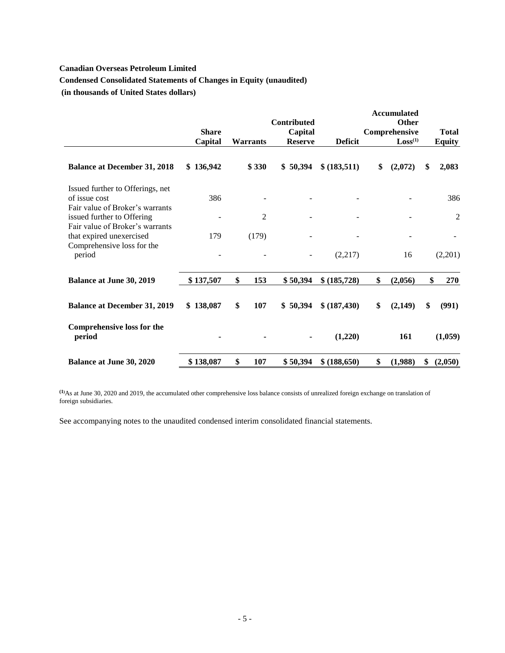# **Canadian Overseas Petroleum Limited Condensed Consolidated Statements of Changes in Equity (unaudited) (in thousands of United States dollars)**

|                                                                                      | <b>Share</b> |                 | <b>Contributed</b><br>Capital |                | <b>Accumulated</b><br>Other<br>Comprehensive | <b>Total</b>   |
|--------------------------------------------------------------------------------------|--------------|-----------------|-------------------------------|----------------|----------------------------------------------|----------------|
|                                                                                      | Capital      | <b>Warrants</b> | <b>Reserve</b>                | <b>Deficit</b> | Loss <sup>(1)</sup>                          | <b>Equity</b>  |
| <b>Balance at December 31, 2018</b>                                                  | \$136,942    | \$330           | \$50,394                      | \$ (183,511)   | \$<br>(2,072)                                | \$<br>2,083    |
| Issued further to Offerings, net<br>of issue cost<br>Fair value of Broker's warrants | 386          |                 |                               |                |                                              | 386            |
| issued further to Offering                                                           |              | 2               |                               |                |                                              | $\mathfrak{2}$ |
| Fair value of Broker's warrants<br>that expired unexercised                          | 179          | (179)           |                               |                |                                              |                |
| Comprehensive loss for the<br>period                                                 |              |                 |                               | (2,217)        | 16                                           | (2,201)        |
| <b>Balance at June 30, 2019</b>                                                      | \$137,507    | \$<br>153       | \$50,394                      | \$ (185,728)   | \$<br>(2,056)                                | \$<br>270      |
| <b>Balance at December 31, 2019</b>                                                  | \$138,087    | \$<br>107       | \$50,394                      | \$ (187,430)   | \$<br>(2,149)                                | \$<br>(991)    |
| <b>Comprehensive loss for the</b><br>period                                          |              |                 | $\blacksquare$                | (1,220)        | 161                                          | (1,059)        |
| <b>Balance at June 30, 2020</b>                                                      | \$138,087    | \$<br>107       | \$50,394                      | \$ (188,650)   | \$<br>(1,988)                                | \$<br>(2,050)  |

**(1)**As at June 30, 2020 and 2019, the accumulated other comprehensive loss balance consists of unrealized foreign exchange on translation of foreign subsidiaries.

See accompanying notes to the unaudited condensed interim consolidated financial statements.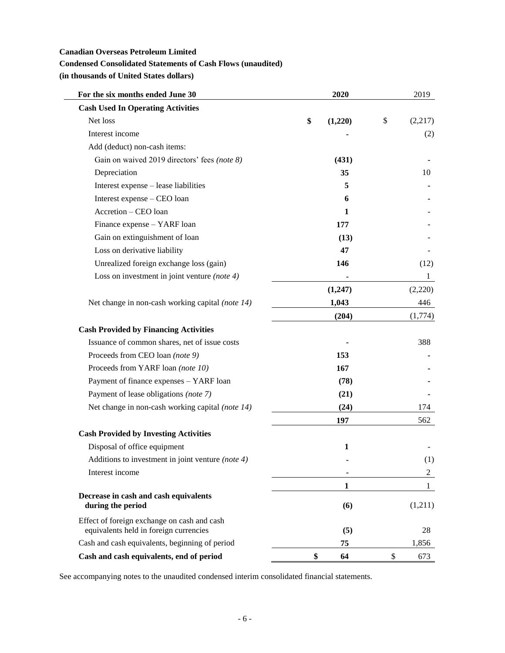### **Canadian Overseas Petroleum Limited**

# **Condensed Consolidated Statements of Cash Flows (unaudited)**

**(in thousands of United States dollars)**

| For the six months ended June 30                           | 2020          | 2019           |
|------------------------------------------------------------|---------------|----------------|
| <b>Cash Used In Operating Activities</b>                   |               |                |
| Net loss                                                   | \$<br>(1,220) | \$<br>(2,217)  |
| Interest income                                            |               | (2)            |
| Add (deduct) non-cash items:                               |               |                |
| Gain on waived 2019 directors' fees (note 8)               | (431)         |                |
| Depreciation                                               | 35            | 10             |
| Interest expense - lease liabilities                       | 5             |                |
| Interest expense - CEO loan                                | 6             |                |
| Accretion - CEO loan                                       | 1             |                |
| Finance expense - YARF loan                                | 177           |                |
| Gain on extinguishment of loan                             | (13)          |                |
| Loss on derivative liability                               | 47            |                |
| Unrealized foreign exchange loss (gain)                    | 146           | (12)           |
| Loss on investment in joint venture (note $4$ )            |               | $\mathbf{1}$   |
|                                                            | (1,247)       | (2,220)        |
| Net change in non-cash working capital (note 14)           | 1,043         | 446            |
|                                                            | (204)         | (1,774)        |
| <b>Cash Provided by Financing Activities</b>               |               |                |
| Issuance of common shares, net of issue costs              |               | 388            |
| Proceeds from CEO loan (note 9)                            | 153           |                |
| Proceeds from YARF loan (note 10)                          | 167           |                |
| Payment of finance expenses - YARF loan                    | (78)          |                |
| Payment of lease obligations (note 7)                      | (21)          |                |
| Net change in non-cash working capital (note 14)           | (24)          | 174            |
|                                                            | 197           | 562            |
| <b>Cash Provided by Investing Activities</b>               |               |                |
| Disposal of office equipment                               | 1             |                |
| Additions to investment in joint venture (note 4)          |               | (1)            |
| Interest income                                            |               | $\overline{c}$ |
|                                                            | 1             | 1              |
| Decrease in cash and cash equivalents<br>during the period | (6)           | (1,211)        |
| Effect of foreign exchange on cash and cash                |               |                |
| equivalents held in foreign currencies                     | (5)           | 28             |
| Cash and cash equivalents, beginning of period             | 75            | 1,856          |
| Cash and cash equivalents, end of period                   | \$<br>64      | \$<br>673      |

See accompanying notes to the unaudited condensed interim consolidated financial statements.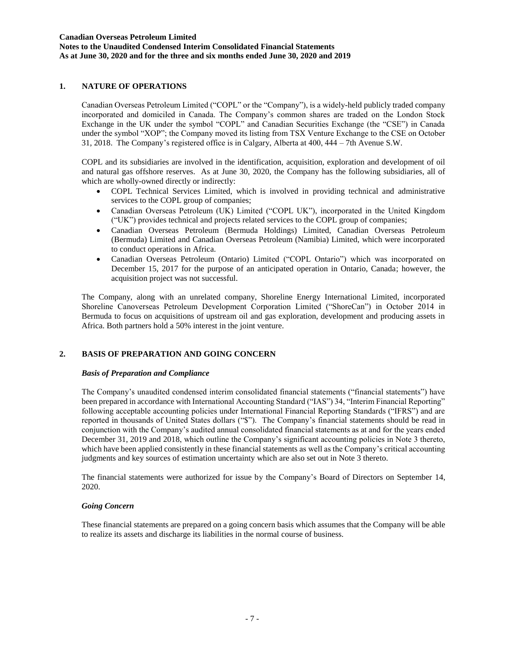### **1. NATURE OF OPERATIONS**

Canadian Overseas Petroleum Limited ("COPL" or the "Company"), is a widely-held publicly traded company incorporated and domiciled in Canada. The Company's common shares are traded on the London Stock Exchange in the UK under the symbol "COPL" and Canadian Securities Exchange (the "CSE") in Canada under the symbol "XOP"; the Company moved its listing from TSX Venture Exchange to the CSE on October 31, 2018. The Company's registered office is in Calgary, Alberta at 400, 444 – 7th Avenue S.W.

COPL and its subsidiaries are involved in the identification, acquisition, exploration and development of oil and natural gas offshore reserves. As at June 30, 2020, the Company has the following subsidiaries, all of which are wholly-owned directly or indirectly:

- COPL Technical Services Limited, which is involved in providing technical and administrative services to the COPL group of companies;
- Canadian Overseas Petroleum (UK) Limited ("COPL UK"), incorporated in the United Kingdom ("UK") provides technical and projects related services to the COPL group of companies;
- Canadian Overseas Petroleum (Bermuda Holdings) Limited, Canadian Overseas Petroleum (Bermuda) Limited and Canadian Overseas Petroleum (Namibia) Limited, which were incorporated to conduct operations in Africa.
- Canadian Overseas Petroleum (Ontario) Limited ("COPL Ontario") which was incorporated on December 15, 2017 for the purpose of an anticipated operation in Ontario, Canada; however, the acquisition project was not successful.

The Company, along with an unrelated company, Shoreline Energy International Limited, incorporated Shoreline Canoverseas Petroleum Development Corporation Limited ("ShoreCan") in October 2014 in Bermuda to focus on acquisitions of upstream oil and gas exploration, development and producing assets in Africa. Both partners hold a 50% interest in the joint venture.

# **2. BASIS OF PREPARATION AND GOING CONCERN**

### *Basis of Preparation and Compliance*

The Company's unaudited condensed interim consolidated financial statements ("financial statements") have been prepared in accordance with International Accounting Standard ("IAS") 34, "Interim Financial Reporting" following acceptable accounting policies under International Financial Reporting Standards ("IFRS") and are reported in thousands of United States dollars ("\$"). The Company's financial statements should be read in conjunction with the Company's audited annual consolidated financial statements as at and for the years ended December 31, 2019 and 2018, which outline the Company's significant accounting policies in Note 3 thereto, which have been applied consistently in these financial statements as well as the Company's critical accounting judgments and key sources of estimation uncertainty which are also set out in Note 3 thereto.

The financial statements were authorized for issue by the Company's Board of Directors on September 14, 2020.

#### *Going Concern*

These financial statements are prepared on a going concern basis which assumes that the Company will be able to realize its assets and discharge its liabilities in the normal course of business.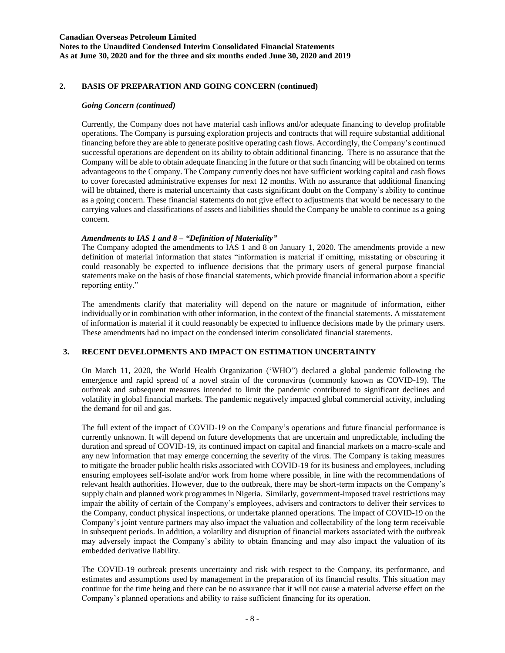### **Canadian Overseas Petroleum Limited Notes to the Unaudited Condensed Interim Consolidated Financial Statements As at June 30, 2020 and for the three and six months ended June 30, 2020 and 2019**

### **2. BASIS OF PREPARATION AND GOING CONCERN (continued)**

### *Going Concern (continued)*

Currently, the Company does not have material cash inflows and/or adequate financing to develop profitable operations. The Company is pursuing exploration projects and contracts that will require substantial additional financing before they are able to generate positive operating cash flows. Accordingly, the Company's continued successful operations are dependent on its ability to obtain additional financing. There is no assurance that the Company will be able to obtain adequate financing in the future or that such financing will be obtained on terms advantageous to the Company. The Company currently does not have sufficient working capital and cash flows to cover forecasted administrative expenses for next 12 months. With no assurance that additional financing will be obtained, there is material uncertainty that casts significant doubt on the Company's ability to continue as a going concern. These financial statements do not give effect to adjustments that would be necessary to the carrying values and classifications of assets and liabilities should the Company be unable to continue as a going concern.

### *Amendments to IAS 1 and 8 – "Definition of Materiality"*

The Company adopted the amendments to IAS 1 and 8 on January 1, 2020. The amendments provide a new definition of material information that states "information is material if omitting, misstating or obscuring it could reasonably be expected to influence decisions that the primary users of general purpose financial statements make on the basis of those financial statements, which provide financial information about a specific reporting entity."

The amendments clarify that materiality will depend on the nature or magnitude of information, either individually or in combination with other information, in the context of the financial statements. A misstatement of information is material if it could reasonably be expected to influence decisions made by the primary users. These amendments had no impact on the condensed interim consolidated financial statements.

### **3. RECENT DEVELOPMENTS AND IMPACT ON ESTIMATION UNCERTAINTY**

On March 11, 2020, the World Health Organization ('WHO") declared a global pandemic following the emergence and rapid spread of a novel strain of the coronavirus (commonly known as COVID-19). The outbreak and subsequent measures intended to limit the pandemic contributed to significant declines and volatility in global financial markets. The pandemic negatively impacted global commercial activity, including the demand for oil and gas.

The full extent of the impact of COVID-19 on the Company's operations and future financial performance is currently unknown. It will depend on future developments that are uncertain and unpredictable, including the duration and spread of COVID-19, its continued impact on capital and financial markets on a macro-scale and any new information that may emerge concerning the severity of the virus. The Company is taking measures to mitigate the broader public health risks associated with COVID-19 for its business and employees, including ensuring employees self-isolate and/or work from home where possible, in line with the recommendations of relevant health authorities. However, due to the outbreak, there may be short-term impacts on the Company's supply chain and planned work programmes in Nigeria. Similarly, government-imposed travel restrictions may impair the ability of certain of the Company's employees, advisers and contractors to deliver their services to the Company, conduct physical inspections, or undertake planned operations. The impact of COVID-19 on the Company's joint venture partners may also impact the valuation and collectability of the long term receivable in subsequent periods. In addition, a volatility and disruption of financial markets associated with the outbreak may adversely impact the Company's ability to obtain financing and may also impact the valuation of its embedded derivative liability.

The COVID-19 outbreak presents uncertainty and risk with respect to the Company, its performance, and estimates and assumptions used by management in the preparation of its financial results. This situation may continue for the time being and there can be no assurance that it will not cause a material adverse effect on the Company's planned operations and ability to raise sufficient financing for its operation.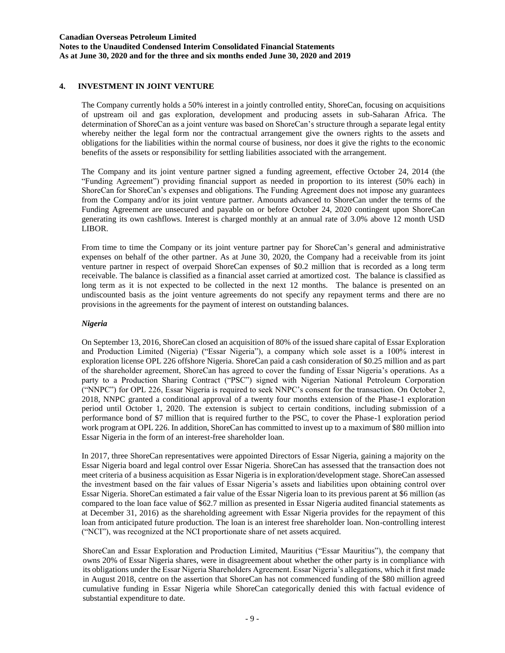### **4. INVESTMENT IN JOINT VENTURE**

The Company currently holds a 50% interest in a jointly controlled entity, ShoreCan, focusing on acquisitions of upstream oil and gas exploration, development and producing assets in sub-Saharan Africa. The determination of ShoreCan as a joint venture was based on ShoreCan's structure through a separate legal entity whereby neither the legal form nor the contractual arrangement give the owners rights to the assets and obligations for the liabilities within the normal course of business, nor does it give the rights to the economic benefits of the assets or responsibility for settling liabilities associated with the arrangement.

The Company and its joint venture partner signed a funding agreement, effective October 24, 2014 (the "Funding Agreement") providing financial support as needed in proportion to its interest (50% each) in ShoreCan for ShoreCan's expenses and obligations. The Funding Agreement does not impose any guarantees from the Company and/or its joint venture partner. Amounts advanced to ShoreCan under the terms of the Funding Agreement are unsecured and payable on or before October 24, 2020 contingent upon ShoreCan generating its own cashflows. Interest is charged monthly at an annual rate of 3.0% above 12 month USD LIBOR.

From time to time the Company or its joint venture partner pay for ShoreCan's general and administrative expenses on behalf of the other partner. As at June 30, 2020, the Company had a receivable from its joint venture partner in respect of overpaid ShoreCan expenses of \$0.2 million that is recorded as a long term receivable. The balance is classified as a financial asset carried at amortized cost. The balance is classified as long term as it is not expected to be collected in the next 12 months. The balance is presented on an undiscounted basis as the joint venture agreements do not specify any repayment terms and there are no provisions in the agreements for the payment of interest on outstanding balances.

#### *Nigeria*

On September 13, 2016, ShoreCan closed an acquisition of 80% of the issued share capital of Essar Exploration and Production Limited (Nigeria) ("Essar Nigeria"), a company which sole asset is a 100% interest in exploration license OPL 226 offshore Nigeria. ShoreCan paid a cash consideration of \$0.25 million and as part of the shareholder agreement, ShoreCan has agreed to cover the funding of Essar Nigeria's operations. As a party to a Production Sharing Contract ("PSC") signed with Nigerian National Petroleum Corporation ("NNPC") for OPL 226, Essar Nigeria is required to seek NNPC's consent for the transaction. On October 2, 2018, NNPC granted a conditional approval of a twenty four months extension of the Phase-1 exploration period until October 1, 2020. The extension is subject to certain conditions, including submission of a performance bond of \$7 million that is required further to the PSC, to cover the Phase-1 exploration period work program at OPL 226. In addition, ShoreCan has committed to invest up to a maximum of \$80 million into Essar Nigeria in the form of an interest-free shareholder loan.

In 2017, three ShoreCan representatives were appointed Directors of Essar Nigeria, gaining a majority on the Essar Nigeria board and legal control over Essar Nigeria. ShoreCan has assessed that the transaction does not meet criteria of a business acquisition as Essar Nigeria is in exploration/development stage. ShoreCan assessed the investment based on the fair values of Essar Nigeria's assets and liabilities upon obtaining control over Essar Nigeria. ShoreCan estimated a fair value of the Essar Nigeria loan to its previous parent at \$6 million (as compared to the loan face value of \$62.7 million as presented in Essar Nigeria audited financial statements as at December 31, 2016) as the shareholding agreement with Essar Nigeria provides for the repayment of this loan from anticipated future production. The loan is an interest free shareholder loan. Non-controlling interest ("NCI"), was recognized at the NCI proportionate share of net assets acquired.

ShoreCan and Essar Exploration and Production Limited, Mauritius ("Essar Mauritius"), the company that owns 20% of Essar Nigeria shares, were in disagreement about whether the other party is in compliance with its obligations under the Essar Nigeria Shareholders Agreement. Essar Nigeria's allegations, which it first made in August 2018, centre on the assertion that ShoreCan has not commenced funding of the \$80 million agreed cumulative funding in Essar Nigeria while ShoreCan categorically denied this with factual evidence of substantial expenditure to date.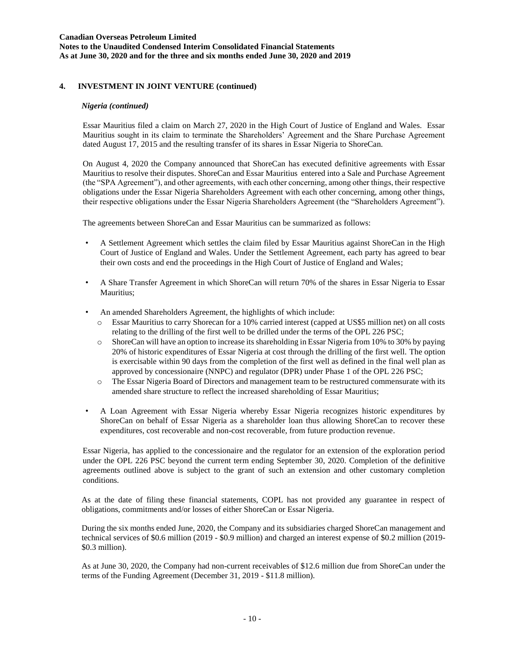### **Canadian Overseas Petroleum Limited Notes to the Unaudited Condensed Interim Consolidated Financial Statements As at June 30, 2020 and for the three and six months ended June 30, 2020 and 2019**

### **4. INVESTMENT IN JOINT VENTURE (continued)**

#### *Nigeria (continued)*

Essar Mauritius filed a claim on March 27, 2020 in the High Court of Justice of England and Wales. Essar Mauritius sought in its claim to terminate the Shareholders' Agreement and the Share Purchase Agreement dated August 17, 2015 and the resulting transfer of its shares in Essar Nigeria to ShoreCan.

On August 4, 2020 the Company announced that ShoreCan has executed definitive agreements with Essar Mauritius to resolve their disputes. ShoreCan and Essar Mauritius entered into a Sale and Purchase Agreement (the "SPA Agreement"), and other agreements, with each other concerning, among other things, their respective obligations under the Essar Nigeria Shareholders Agreement with each other concerning, among other things, their respective obligations under the Essar Nigeria Shareholders Agreement (the "Shareholders Agreement").

The agreements between ShoreCan and Essar Mauritius can be summarized as follows:

- A Settlement Agreement which settles the claim filed by Essar Mauritius against ShoreCan in the High Court of Justice of England and Wales. Under the Settlement Agreement, each party has agreed to bear their own costs and end the proceedings in the High Court of Justice of England and Wales;
- A Share Transfer Agreement in which ShoreCan will return 70% of the shares in Essar Nigeria to Essar Mauritius;
- An amended Shareholders Agreement, the highlights of which include:
	- o Essar Mauritius to carry Shorecan for a 10% carried interest (capped at US\$5 million net) on all costs relating to the drilling of the first well to be drilled under the terms of the OPL 226 PSC;
	- o ShoreCan will have an option to increase its shareholding in Essar Nigeria from 10% to 30% by paying 20% of historic expenditures of Essar Nigeria at cost through the drilling of the first well. The option is exercisable within 90 days from the completion of the first well as defined in the final well plan as approved by concessionaire (NNPC) and regulator (DPR) under Phase 1 of the OPL 226 PSC;
	- o The Essar Nigeria Board of Directors and management team to be restructured commensurate with its amended share structure to reflect the increased shareholding of Essar Mauritius;
- A Loan Agreement with Essar Nigeria whereby Essar Nigeria recognizes historic expenditures by ShoreCan on behalf of Essar Nigeria as a shareholder loan thus allowing ShoreCan to recover these expenditures, cost recoverable and non-cost recoverable, from future production revenue.

Essar Nigeria, has applied to the concessionaire and the regulator for an extension of the exploration period under the OPL 226 PSC beyond the current term ending September 30, 2020. Completion of the definitive agreements outlined above is subject to the grant of such an extension and other customary completion conditions.

As at the date of filing these financial statements, COPL has not provided any guarantee in respect of obligations, commitments and/or losses of either ShoreCan or Essar Nigeria.

During the six months ended June, 2020, the Company and its subsidiaries charged ShoreCan management and technical services of \$0.6 million (2019 - \$0.9 million) and charged an interest expense of \$0.2 million (2019- \$0.3 million).

As at June 30, 2020, the Company had non-current receivables of \$12.6 million due from ShoreCan under the terms of the Funding Agreement (December 31, 2019 - \$11.8 million).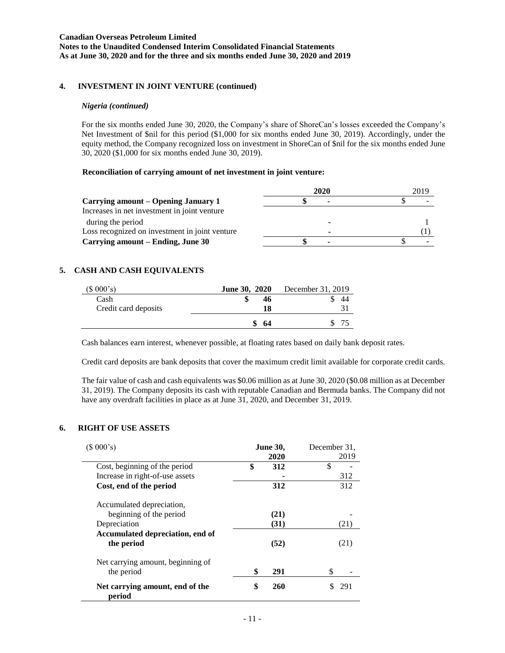### **Canadian Overseas Petroleum Limited Notes to the Unaudited Condensed Interim Consolidated Financial Statements As at June 30, 2020 and for the three and six months ended June 30, 2020 and 2019**

### **4. INVESTMENT IN JOINT VENTURE (continued)**

### *Nigeria (continued)*

For the six months ended June 30, 2020, the Company's share of ShoreCan's losses exceeded the Company's Net Investment of \$nil for this period (\$1,000 for six months ended June 30, 2019). Accordingly, under the equity method, the Company recognized loss on investment in ShoreCan of \$nil for the six months ended June 30, 2020 (\$1,000 for six months ended June 30, 2019).

### **Reconciliation of carrying amount of net investment in joint venture:**

|                                                | 2020 | 2019 |
|------------------------------------------------|------|------|
| Carrying amount – Opening January 1            | ۰    |      |
| Increases in net investment in joint venture   |      |      |
| during the period                              |      |      |
| Loss recognized on investment in joint venture | ۰    |      |
| Carrying amount – Ending, June 30              |      |      |

# **5. CASH AND CASH EQUIVALENTS**

| (\$000's)            | <b>June 30, 2020</b> | December 31, 2019 |
|----------------------|----------------------|-------------------|
| Cash                 | 46                   | 44                |
| Credit card deposits | 18                   |                   |
|                      | -64                  |                   |

Cash balances earn interest, whenever possible, at floating rates based on daily bank deposit rates.

Credit card deposits are bank deposits that cover the maximum credit limit available for corporate credit cards.

The fair value of cash and cash equivalents was \$0.06 million as at June 30, 2020 (\$0.08 million as at December 31, 2019). The Company deposits its cash with reputable Canadian and Bermuda banks. The Company did not have any overdraft facilities in place as at June 31, 2020, and December 31, 2019.

### **6. RIGHT OF USE ASSETS**

| (\$000's)                                       | <b>June 30,</b><br>2020 | December 31.<br>2019 |
|-------------------------------------------------|-------------------------|----------------------|
| Cost, beginning of the period                   | \$<br>312               | \$                   |
| Increase in right-of-use assets                 |                         | 312                  |
| Cost, end of the period                         | 312                     | 312                  |
| Accumulated depreciation,                       |                         |                      |
| beginning of the period                         | (21)                    |                      |
| Depreciation                                    | (31)                    | (21)                 |
| Accumulated depreciation, end of<br>the period  | (52)                    | (21)                 |
| Net carrying amount, beginning of<br>the period | \$<br>291               | \$                   |
| Net carrying amount, end of the<br>period       | \$<br>260               | 291                  |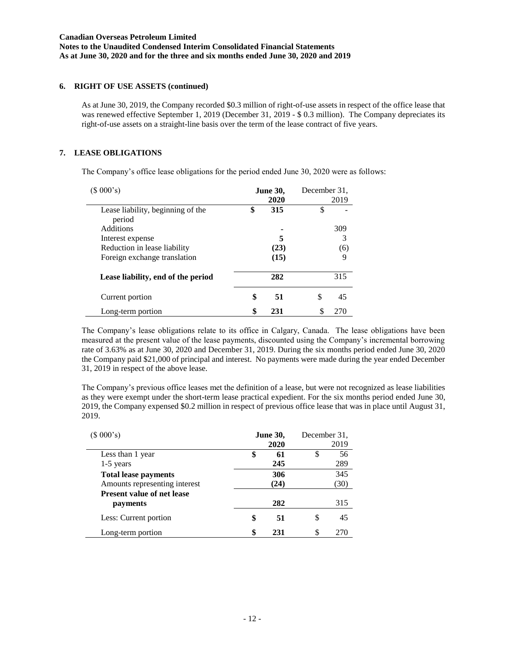### **6. RIGHT OF USE ASSETS (continued)**

As at June 30, 2019, the Company recorded \$0.3 million of right-of-use assets in respect of the office lease that was renewed effective September 1, 2019 (December 31, 2019 - \$ 0.3 million). The Company depreciates its right-of-use assets on a straight-line basis over the term of the lease contract of five years.

### **7. LEASE OBLIGATIONS**

The Company's office lease obligations for the period ended June 30, 2020 were as follows:

| (\$000's)                          | <b>June 30,</b> |      | December 31, |      |
|------------------------------------|-----------------|------|--------------|------|
|                                    |                 | 2020 |              | 2019 |
| Lease liability, beginning of the  | \$              | 315  | \$           |      |
| period                             |                 |      |              |      |
| <b>Additions</b>                   |                 |      |              | 309  |
| Interest expense                   |                 | 5    |              | 3    |
| Reduction in lease liability       |                 | (23) |              | (6)  |
| Foreign exchange translation       |                 | (15) |              | 9    |
| Lease liability, end of the period |                 | 282  |              | 315  |
| Current portion                    | \$              | 51   | \$           | 45   |
| Long-term portion                  | \$              | 231  | \$           | 270  |

The Company's lease obligations relate to its office in Calgary, Canada. The lease obligations have been measured at the present value of the lease payments, discounted using the Company's incremental borrowing rate of 3.63% as at June 30, 2020 and December 31, 2019. During the six months period ended June 30, 2020 the Company paid \$21,000 of principal and interest. No payments were made during the year ended December 31, 2019 in respect of the above lease.

The Company's previous office leases met the definition of a lease, but were not recognized as lease liabilities as they were exempt under the short-term lease practical expedient. For the six months period ended June 30, 2019, the Company expensed \$0.2 million in respect of previous office lease that was in place until August 31, 2019.

| (\$000's)                                                    | <b>June 30,</b><br>2020 | December 31. | 2019        |
|--------------------------------------------------------------|-------------------------|--------------|-------------|
| Less than 1 year<br>$1-5$ years                              | \$<br>61<br>245         | \$           | 56<br>289   |
| <b>Total lease payments</b><br>Amounts representing interest | 306<br>(24)             |              | 345<br>(30) |
| <b>Present value of net lease</b><br>payments                | 282                     |              | 315         |
| Less: Current portion                                        | \$<br>51                | S            | 45          |
| Long-term portion                                            | 231                     | S            |             |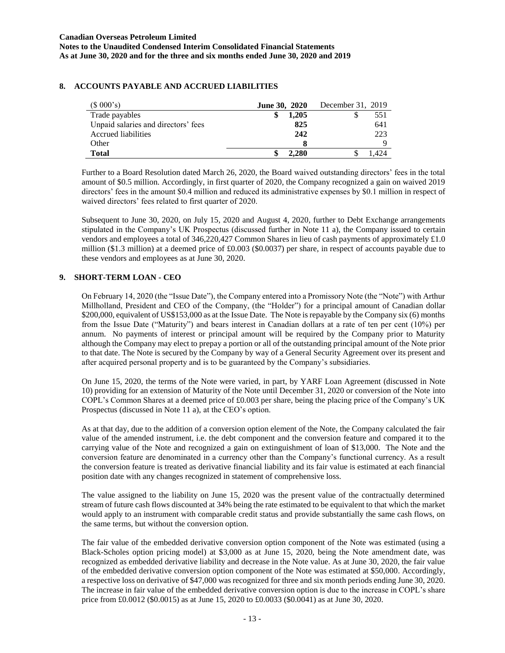# **8. ACCOUNTS PAYABLE AND ACCRUED LIABILITIES**

| (\$000's)                           | <b>June 30, 2020</b> | December 31, 2019 |
|-------------------------------------|----------------------|-------------------|
| Trade payables                      | 1.205                | 551               |
| Unpaid salaries and directors' fees | 825                  | 641               |
| Accrued liabilities                 | 242                  | 223               |
| Other                               |                      |                   |
| <b>Total</b>                        | 2.280                |                   |

Further to a Board Resolution dated March 26, 2020, the Board waived outstanding directors' fees in the total amount of \$0.5 million. Accordingly, in first quarter of 2020, the Company recognized a gain on waived 2019 directors' fees in the amount \$0.4 million and reduced its administrative expenses by \$0.1 million in respect of waived directors' fees related to first quarter of 2020.

Subsequent to June 30, 2020, on July 15, 2020 and August 4, 2020, further to Debt Exchange arrangements stipulated in the Company's UK Prospectus (discussed further in Note 11 a), the Company issued to certain vendors and employees a total of 346,220,427 Common Shares in lieu of cash payments of approximately £1.0 million (\$1.3 million) at a deemed price of £0.003 (\$0.0037) per share, in respect of accounts payable due to these vendors and employees as at June 30, 2020.

### **9. SHORT-TERM LOAN - CEO**

On February 14, 2020 (the "Issue Date"), the Company entered into a Promissory Note (the "Note") with Arthur Millholland, President and CEO of the Company, (the "Holder") for a principal amount of Canadian dollar \$200,000, equivalent of US\$153,000 as at the Issue Date. The Note is repayable by the Company six (6) months from the Issue Date ("Maturity") and bears interest in Canadian dollars at a rate of ten per cent (10%) per annum. No payments of interest or principal amount will be required by the Company prior to Maturity although the Company may elect to prepay a portion or all of the outstanding principal amount of the Note prior to that date. The Note is secured by the Company by way of a General Security Agreement over its present and after acquired personal property and is to be guaranteed by the Company's subsidiaries.

On June 15, 2020, the terms of the Note were varied, in part, by YARF Loan Agreement (discussed in Note 10) providing for an extension of Maturity of the Note until December 31, 2020 or conversion of the Note into COPL's Common Shares at a deemed price of £0.003 per share, being the placing price of the Company's UK Prospectus (discussed in Note 11 a), at the CEO's option.

As at that day, due to the addition of a conversion option element of the Note, the Company calculated the fair value of the amended instrument, i.e. the debt component and the conversion feature and compared it to the carrying value of the Note and recognized a gain on extinguishment of loan of \$13,000. The Note and the conversion feature are denominated in a currency other than the Company's functional currency. As a result the conversion feature is treated as derivative financial liability and its fair value is estimated at each financial position date with any changes recognized in statement of comprehensive loss.

The value assigned to the liability on June 15, 2020 was the present value of the contractually determined stream of future cash flows discounted at 34% being the rate estimated to be equivalent to that which the market would apply to an instrument with comparable credit status and provide substantially the same cash flows, on the same terms, but without the conversion option.

The fair value of the embedded derivative conversion option component of the Note was estimated (using a Black-Scholes option pricing model) at \$3,000 as at June 15, 2020, being the Note amendment date, was recognized as embedded derivative liability and decrease in the Note value. As at June 30, 2020, the fair value of the embedded derivative conversion option component of the Note was estimated at \$50,000. Accordingly, a respective loss on derivative of \$47,000 was recognized for three and six month periods ending June 30, 2020. The increase in fair value of the embedded derivative conversion option is due to the increase in COPL's share price from £0.0012 (\$0.0015) as at June 15, 2020 to £0.0033 (\$0.0041) as at June 30, 2020.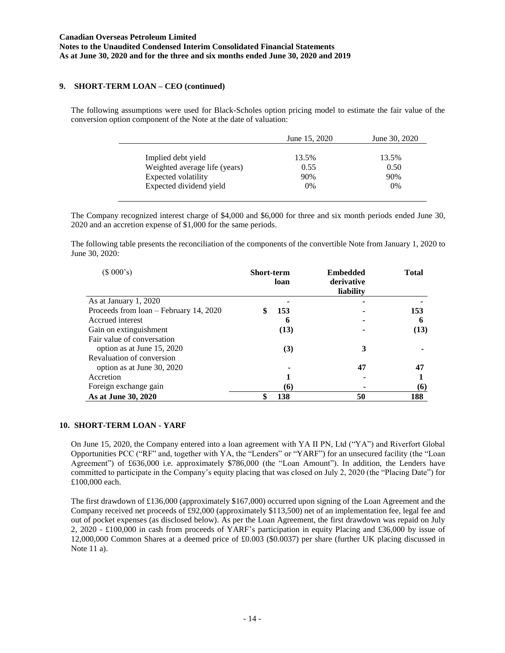### **9. SHORT-TERM LOAN – CEO (continued)**

The following assumptions were used for Black-Scholes option pricing model to estimate the fair value of the conversion option component of the Note at the date of valuation:

|                               | June 15, 2020 | June 30, 2020 |
|-------------------------------|---------------|---------------|
| Implied debt yield            | 13.5%         | 13.5%         |
| Weighted average life (years) | 0.55          | 0.50          |
| Expected volatility           | 90%           | 90%           |
| Expected dividend yield       | $0\%$         | 0%            |

The Company recognized interest charge of \$4,000 and \$6,000 for three and six month periods ended June 30, 2020 and an accretion expense of \$1,000 for the same periods.

The following table presents the reconciliation of the components of the convertible Note from January 1, 2020 to June 30, 2020:

| (\$000's)                              | <b>Short-term</b> | loan | <b>Embedded</b><br>derivative<br>liability | <b>Total</b> |
|----------------------------------------|-------------------|------|--------------------------------------------|--------------|
| As at January 1, 2020                  |                   |      |                                            |              |
| Proceeds from loan - February 14, 2020 |                   | 153  |                                            | 153          |
| Accrued interest                       |                   | 6    |                                            | 6            |
| Gain on extinguishment                 |                   | (13) |                                            | (13)         |
| Fair value of conversation             |                   |      |                                            |              |
| option as at June 15, 2020             |                   | (3)  | 3                                          |              |
| Revaluation of conversion              |                   |      |                                            |              |
| option as at June 30, 2020             |                   |      | 47                                         | 47           |
| Accretion                              |                   |      |                                            |              |
| Foreign exchange gain                  |                   | (6)  |                                            | (6)          |
| As at June 30, 2020                    | \$                | 138  | 50                                         | 188          |

#### **10. SHORT-TERM LOAN - YARF**

On June 15, 2020, the Company entered into a loan agreement with YA II PN, Ltd ("YA") and Riverfort Global Opportunities PCC ("RF" and, together with YA, the "Lenders" or "YARF") for an unsecured facility (the "Loan Agreement") of £636,000 i.e. approximately \$786,000 (the "Loan Amount"). In addition, the Lenders have committed to participate in the Company's equity placing that was closed on July 2, 2020 (the "Placing Date") for £100,000 each.

The first drawdown of £136,000 (approximately \$167,000) occurred upon signing of the Loan Agreement and the Company received net proceeds of £92,000 (approximately \$113,500) net of an implementation fee, legal fee and out of pocket expenses (as disclosed below). As per the Loan Agreement, the first drawdown was repaid on July 2, 2020 - £100,000 in cash from proceeds of YARF's participation in equity Placing and £36,000 by issue of 12,000,000 Common Shares at a deemed price of £0.003 (\$0.0037) per share (further UK placing discussed in Note 11 a).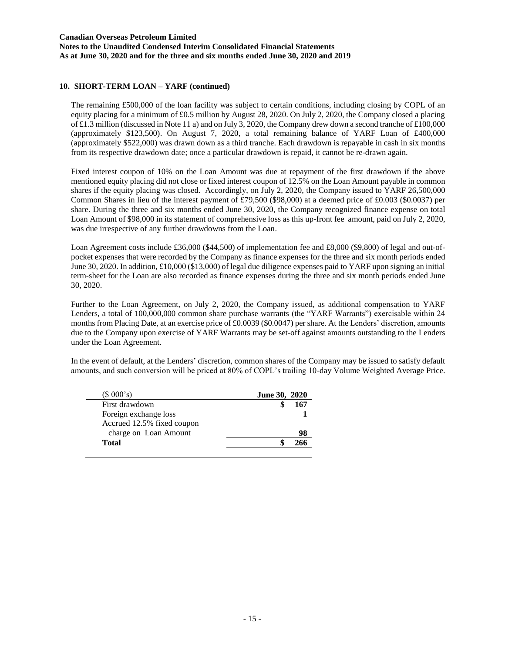### **Canadian Overseas Petroleum Limited Notes to the Unaudited Condensed Interim Consolidated Financial Statements As at June 30, 2020 and for the three and six months ended June 30, 2020 and 2019**

### **10. SHORT-TERM LOAN – YARF (continued)**

The remaining £500,000 of the loan facility was subject to certain conditions, including closing by COPL of an equity placing for a minimum of £0.5 million by August 28, 2020. On July 2, 2020, the Company closed a placing of £1.3 million (discussed in Note 11 a) and on July 3, 2020, the Company drew down a second tranche of £100,000 (approximately \$123,500). On August 7, 2020, a total remaining balance of YARF Loan of £400,000 (approximately \$522,000) was drawn down as a third tranche. Each drawdown is repayable in cash in six months from its respective drawdown date; once a particular drawdown is repaid, it cannot be re-drawn again.

Fixed interest coupon of 10% on the Loan Amount was due at repayment of the first drawdown if the above mentioned equity placing did not close or fixed interest coupon of 12.5% on the Loan Amount payable in common shares if the equity placing was closed. Accordingly, on July 2, 2020, the Company issued to YARF 26,500,000 Common Shares in lieu of the interest payment of £79,500 (\$98,000) at a deemed price of £0.003 (\$0.0037) per share. During the three and six months ended June 30, 2020, the Company recognized finance expense on total Loan Amount of \$98,000 in its statement of comprehensive loss as this up-front fee amount, paid on July 2, 2020, was due irrespective of any further drawdowns from the Loan.

Loan Agreement costs include £36,000 (\$44,500) of implementation fee and £8,000 (\$9,800) of legal and out-ofpocket expenses that were recorded by the Company as finance expenses for the three and six month periods ended June 30, 2020. In addition, £10,000 (\$13,000) of legal due diligence expenses paid to YARF upon signing an initial term-sheet for the Loan are also recorded as finance expenses during the three and six month periods ended June 30, 2020.

Further to the Loan Agreement, on July 2, 2020, the Company issued, as additional compensation to YARF Lenders, a total of 100,000,000 common share purchase warrants (the "YARF Warrants") exercisable within 24 months from Placing Date, at an exercise price of £0.0039 (\$0.0047) per share. At the Lenders' discretion, amounts due to the Company upon exercise of YARF Warrants may be set-off against amounts outstanding to the Lenders under the Loan Agreement.

In the event of default, at the Lenders' discretion, common shares of the Company may be issued to satisfy default amounts, and such conversion will be priced at 80% of COPL's trailing 10-day Volume Weighted Average Price.

| $(S\ 000's)$               | <b>June 30, 2020</b> |     |
|----------------------------|----------------------|-----|
| First drawdown             |                      | 167 |
| Foreign exchange loss      |                      |     |
| Accrued 12.5% fixed coupon |                      |     |
| charge on Loan Amount      |                      | 98  |
| <b>Total</b>               |                      | 266 |
|                            |                      |     |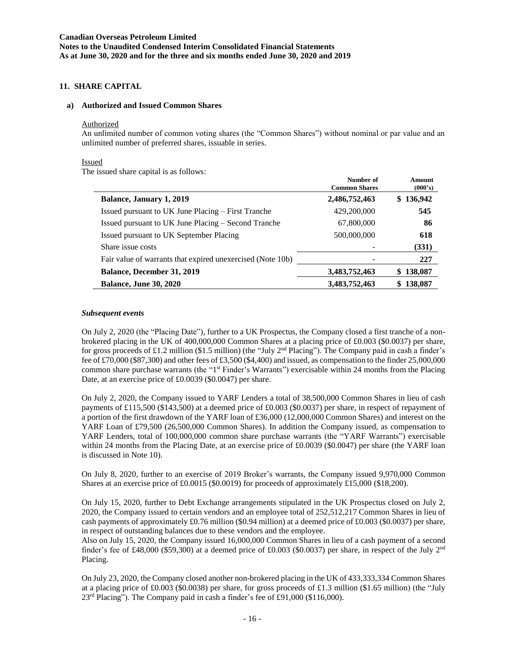### **11. SHARE CAPITAL**

#### **a) Authorized and Issued Common Shares**

#### Authorized

An unlimited number of common voting shares (the "Common Shares") without nominal or par value and an unlimited number of preferred shares, issuable in series.

#### Issued

The issued share capital is as follows:

|                                                            | Number of<br><b>Common Shares</b> | Amount<br>(000's) |
|------------------------------------------------------------|-----------------------------------|-------------------|
| <b>Balance, January 1, 2019</b>                            | 2,486,752,463                     | \$136,942         |
| Issued pursuant to UK June Placing – First Tranche         | 429,200,000                       | 545               |
| Issued pursuant to UK June Placing – Second Tranche        | 67,800,000                        | 86                |
| Issued pursuant to UK September Placing                    | 500,000,000                       | 618               |
| Share issue costs                                          |                                   | (331)             |
| Fair value of warrants that expired unexercised (Note 10b) |                                   | 227               |
| <b>Balance, December 31, 2019</b>                          | 3,483,752,463                     | \$138,087         |
| <b>Balance, June 30, 2020</b>                              | 3,483,752,463                     | \$138,087         |

#### *Subsequent events*

On July 2, 2020 (the "Placing Date"), further to a UK Prospectus, the Company closed a first tranche of a nonbrokered placing in the UK of 400,000,000 Common Shares at a placing price of £0.003 (\$0.0037) per share, for gross proceeds of £1.2 million (\$1.5 million) (the "July 2<sup>nd</sup> Placing"). The Company paid in cash a finder's fee of £70,000 (\$87,300) and other fees of £3,500 (\$4,400) and issued, as compensation to the finder 25,000,000 common share purchase warrants (the "1<sup>st</sup> Finder's Warrants") exercisable within 24 months from the Placing Date, at an exercise price of £0.0039 (\$0.0047) per share.

On July 2, 2020, the Company issued to YARF Lenders a total of 38,500,000 Common Shares in lieu of cash payments of £115,500 (\$143,500) at a deemed price of £0.003 (\$0.0037) per share, in respect of repayment of a portion of the first drawdown of the YARF loan of £36,000 (12,000,000 Common Shares) and interest on the YARF Loan of £79,500 (26,500,000 Common Shares). In addition the Company issued, as compensation to YARF Lenders, total of 100,000,000 common share purchase warrants (the "YARF Warrants") exercisable within 24 months from the Placing Date, at an exercise price of £0.0039 (\$0.0047) per share (the YARF loan is discussed in Note 10).

On July 8, 2020, further to an exercise of 2019 Broker's warrants, the Company issued 9,970,000 Common Shares at an exercise price of £0.0015 (\$0.0019) for proceeds of approximately £15,000 (\$18,200).

On July 15, 2020, further to Debt Exchange arrangements stipulated in the UK Prospectus closed on July 2, 2020, the Company issued to certain vendors and an employee total of 252,512,217 Common Shares in lieu of cash payments of approximately £0.76 million (\$0.94 million) at a deemed price of £0.003 (\$0.0037) per share, in respect of outstanding balances due to these vendors and the employee.

Also on July 15, 2020, the Company issued 16,000,000 Common Shares in lieu of a cash payment of a second finder's fee of £48,000 (\$59,300) at a deemed price of £0.003 (\$0.0037) per share, in respect of the July  $2<sup>nd</sup>$ Placing.

On July 23, 2020, the Company closed another non-brokered placing in the UK of 433,333,334 Common Shares at a placing price of £0.003 (\$0.0038) per share, for gross proceeds of £1.3 million (\$1.65 million) (the "July 23<sup>rd</sup> Placing"). The Company paid in cash a finder's fee of £91,000 (\$116,000).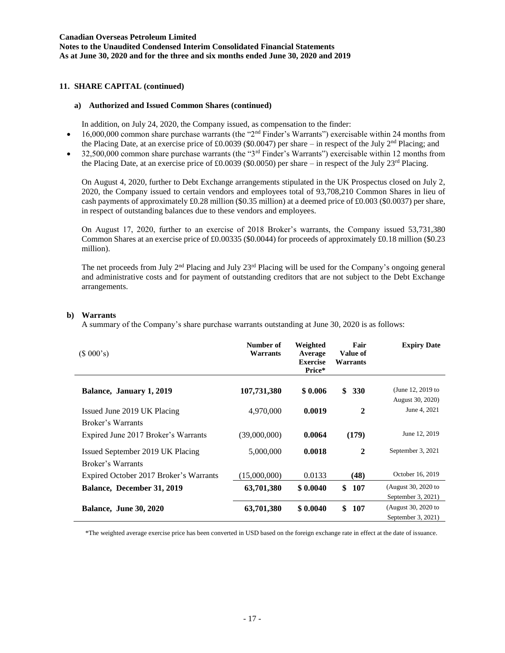### **11. SHARE CAPITAL (continued)**

#### **a) Authorized and Issued Common Shares (continued)**

In addition, on July 24, 2020, the Company issued, as compensation to the finder:

- $\bullet$  16,000,000 common share purchase warrants (the "2<sup>nd</sup> Finder's Warrants") exercisable within 24 months from the Placing Date, at an exercise price of £0.0039 (\$0.0047) per share – in respect of the July  $2<sup>nd</sup>$  Placing; and
- 32,500,000 common share purchase warrants (the "3rd Finder's Warrants") exercisable within 12 months from the Placing Date, at an exercise price of £0.0039 (\$0.0050) per share – in respect of the July 23<sup>rd</sup> Placing.

On August 4, 2020, further to Debt Exchange arrangements stipulated in the UK Prospectus closed on July 2, 2020, the Company issued to certain vendors and employees total of 93,708,210 Common Shares in lieu of cash payments of approximately £0.28 million (\$0.35 million) at a deemed price of £0.003 (\$0.0037) per share, in respect of outstanding balances due to these vendors and employees.

On August 17, 2020, further to an exercise of 2018 Broker's warrants, the Company issued 53,731,380 Common Shares at an exercise price of £0.00335 (\$0.0044) for proceeds of approximately £0.18 million (\$0.23 million).

The net proceeds from July 2nd Placing and July 23rd Placing will be used for the Company's ongoing general and administrative costs and for payment of outstanding creditors that are not subject to the Debt Exchange arrangements.

#### **b) Warrants**

A summary of the Company's share purchase warrants outstanding at June 30, 2020 is as follows:

| (\$000's)                              | Number of<br>Warrants | Weighted<br>Average<br><b>Exercise</b><br>Price* | Fair<br>Value of<br>Warrants | <b>Expiry Date</b>                    |
|----------------------------------------|-----------------------|--------------------------------------------------|------------------------------|---------------------------------------|
| Balance, January 1, 2019               | 107,731,380           | \$0.006                                          | \$<br><b>330</b>             | (June 12, 2019 to<br>August 30, 2020) |
| Issued June 2019 UK Placing            | 4,970,000             | 0.0019                                           | $\mathbf{2}$                 | June 4, 2021                          |
| Broker's Warrants                      |                       |                                                  |                              |                                       |
| Expired June 2017 Broker's Warrants    | (39,000,000)          | 0.0064                                           | (179)                        | June 12, 2019                         |
| Issued September 2019 UK Placing       | 5,000,000             | 0.0018                                           | $\mathbf{2}$                 | September 3, 2021                     |
| Broker's Warrants                      |                       |                                                  |                              |                                       |
| Expired October 2017 Broker's Warrants | (15,000,000)          | 0.0133                                           | (48)                         | October 16, 2019                      |
| Balance, December 31, 2019             | 63,701,380            | \$0.0040                                         | \$<br>107                    | (August 30, 2020 to                   |
|                                        |                       |                                                  |                              | September 3, 2021)                    |
| <b>Balance, June 30, 2020</b>          | 63,701,380            | \$0.0040                                         | \$<br>107                    | (August 30, 2020 to                   |
|                                        |                       |                                                  |                              | September 3, 2021)                    |

\*The weighted average exercise price has been converted in USD based on the foreign exchange rate in effect at the date of issuance.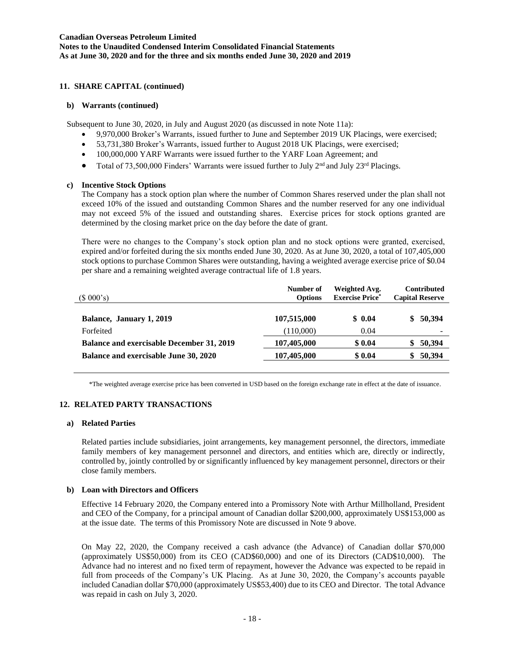### **11. SHARE CAPITAL (continued)**

#### **b) Warrants (continued)**

Subsequent to June 30, 2020, in July and August 2020 (as discussed in note Note 11a):

- 9,970,000 Broker's Warrants, issued further to June and September 2019 UK Placings, were exercised;
- 53,731,380 Broker's Warrants, issued further to August 2018 UK Placings, were exercised;
- 100,000,000 YARF Warrants were issued further to the YARF Loan Agreement; and
- Total of 73,500,000 Finders' Warrants were issued further to July  $2<sup>nd</sup>$  and July  $23<sup>rd</sup>$  Placings.

### **c) Incentive Stock Options**

The Company has a stock option plan where the number of Common Shares reserved under the plan shall not exceed 10% of the issued and outstanding Common Shares and the number reserved for any one individual may not exceed 5% of the issued and outstanding shares. Exercise prices for stock options granted are determined by the closing market price on the day before the date of grant.

There were no changes to the Company's stock option plan and no stock options were granted, exercised, expired and/or forfeited during the six months ended June 30, 2020. As at June 30, 2020, a total of 107,405,000 stock options to purchase Common Shares were outstanding, having a weighted average exercise price of \$0.04 per share and a remaining weighted average contractual life of 1.8 years.

| (\$000's)                                        | Number of<br><b>Options</b> | Weighted Avg.<br><b>Exercise Price*</b> | <b>Contributed</b><br><b>Capital Reserve</b> |
|--------------------------------------------------|-----------------------------|-----------------------------------------|----------------------------------------------|
| Balance, January 1, 2019                         | 107,515,000                 | \$0.04                                  | 50,394<br>SS.                                |
| Forfeited                                        | (110,000)                   | 0.04                                    |                                              |
| <b>Balance and exercisable December 31, 2019</b> | 107,405,000                 | \$0.04                                  | 50,394                                       |
| Balance and exercisable June 30, 2020            | 107,405,000                 | \$0.04                                  | 50,394                                       |

\*The weighted average exercise price has been converted in USD based on the foreign exchange rate in effect at the date of issuance.

# **12. RELATED PARTY TRANSACTIONS**

#### **a) Related Parties**

Related parties include subsidiaries, joint arrangements, key management personnel, the directors, immediate family members of key management personnel and directors, and entities which are, directly or indirectly, controlled by, jointly controlled by or significantly influenced by key management personnel, directors or their close family members.

#### **b) Loan with Directors and Officers**

Effective 14 February 2020, the Company entered into a Promissory Note with Arthur Millholland, President and CEO of the Company, for a principal amount of Canadian dollar \$200,000, approximately US\$153,000 as at the issue date. The terms of this Promissory Note are discussed in Note 9 above.

On May 22, 2020, the Company received a cash advance (the Advance) of Canadian dollar \$70,000 (approximately US\$50,000) from its CEO (CAD\$60,000) and one of its Directors (CAD\$10,000). The Advance had no interest and no fixed term of repayment, however the Advance was expected to be repaid in full from proceeds of the Company's UK Placing. As at June 30, 2020, the Company's accounts payable included Canadian dollar \$70,000 (approximately US\$53,400) due to its CEO and Director. The total Advance was repaid in cash on July 3, 2020.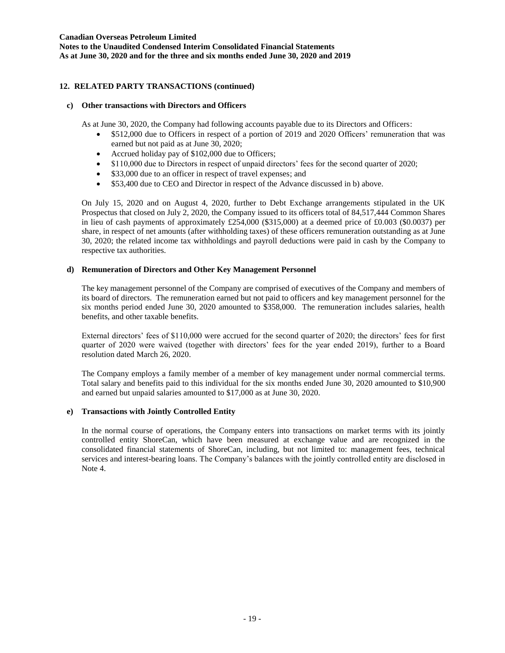# **12. RELATED PARTY TRANSACTIONS (continued)**

### **c) Other transactions with Directors and Officers**

As at June 30, 2020, the Company had following accounts payable due to its Directors and Officers:

- \$512,000 due to Officers in respect of a portion of 2019 and 2020 Officers' remuneration that was earned but not paid as at June 30, 2020;
- Accrued holiday pay of \$102,000 due to Officers;
- \$110,000 due to Directors in respect of unpaid directors' fees for the second quarter of 2020;
- \$33,000 due to an officer in respect of travel expenses; and
- \$53,400 due to CEO and Director in respect of the Advance discussed in b) above.

On July 15, 2020 and on August 4, 2020, further to Debt Exchange arrangements stipulated in the UK Prospectus that closed on July 2, 2020, the Company issued to its officers total of 84,517,444 Common Shares in lieu of cash payments of approximately £254,000 (\$315,000) at a deemed price of £0.003 (\$0.0037) per share, in respect of net amounts (after withholding taxes) of these officers remuneration outstanding as at June 30, 2020; the related income tax withholdings and payroll deductions were paid in cash by the Company to respective tax authorities.

### **d) Remuneration of Directors and Other Key Management Personnel**

The key management personnel of the Company are comprised of executives of the Company and members of its board of directors. The remuneration earned but not paid to officers and key management personnel for the six months period ended June 30, 2020 amounted to \$358,000. The remuneration includes salaries, health benefits, and other taxable benefits.

External directors' fees of \$110,000 were accrued for the second quarter of 2020; the directors' fees for first quarter of 2020 were waived (together with directors' fees for the year ended 2019), further to a Board resolution dated March 26, 2020.

The Company employs a family member of a member of key management under normal commercial terms. Total salary and benefits paid to this individual for the six months ended June 30, 2020 amounted to \$10,900 and earned but unpaid salaries amounted to \$17,000 as at June 30, 2020.

### **e) Transactions with Jointly Controlled Entity**

In the normal course of operations, the Company enters into transactions on market terms with its jointly controlled entity ShoreCan, which have been measured at exchange value and are recognized in the consolidated financial statements of ShoreCan, including, but not limited to: management fees, technical services and interest-bearing loans. The Company's balances with the jointly controlled entity are disclosed in Note 4.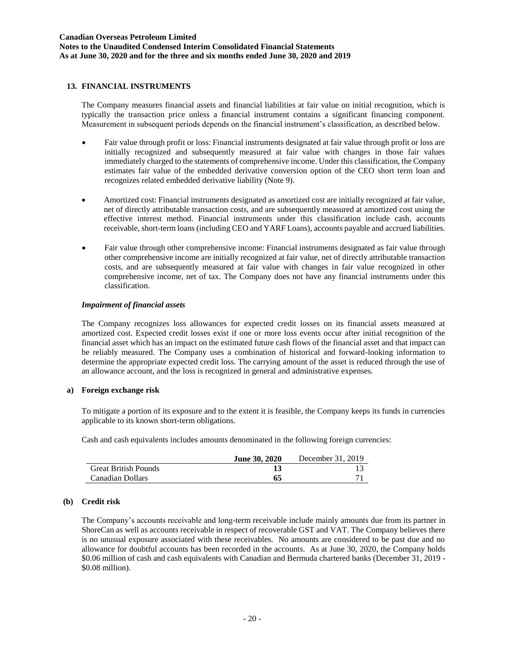### **13. FINANCIAL INSTRUMENTS**

The Company measures financial assets and financial liabilities at fair value on initial recognition, which is typically the transaction price unless a financial instrument contains a significant financing component. Measurement in subsequent periods depends on the financial instrument's classification, as described below.

- Fair value through profit or loss: Financial instruments designated at fair value through profit or loss are initially recognized and subsequently measured at fair value with changes in those fair values immediately charged to the statements of comprehensive income. Under this classification, the Company estimates fair value of the embedded derivative conversion option of the CEO short term loan and recognizes related embedded derivative liability (Note 9).
- Amortized cost: Financial instruments designated as amortized cost are initially recognized at fair value, net of directly attributable transaction costs, and are subsequently measured at amortized cost using the effective interest method. Financial instruments under this classification include cash, accounts receivable, short-term loans (including CEO and YARF Loans), accounts payable and accrued liabilities.
- Fair value through other comprehensive income: Financial instruments designated as fair value through other comprehensive income are initially recognized at fair value, net of directly attributable transaction costs, and are subsequently measured at fair value with changes in fair value recognized in other comprehensive income, net of tax. The Company does not have any financial instruments under this classification.

### *Impairment of financial assets*

The Company recognizes loss allowances for expected credit losses on its financial assets measured at amortized cost. Expected credit losses exist if one or more loss events occur after initial recognition of the financial asset which has an impact on the estimated future cash flows of the financial asset and that impact can be reliably measured. The Company uses a combination of historical and forward-looking information to determine the appropriate expected credit loss. The carrying amount of the asset is reduced through the use of an allowance account, and the loss is recognized in general and administrative expenses.

#### **a) Foreign exchange risk**

To mitigate a portion of its exposure and to the extent it is feasible, the Company keeps its funds in currencies applicable to its known short-term obligations.

Cash and cash equivalents includes amounts denominated in the following foreign currencies:

|                             | <b>June 30, 2020</b> | December $31, 2019$ |
|-----------------------------|----------------------|---------------------|
| <b>Great British Pounds</b> |                      |                     |
| Canadian Dollars            | 65                   |                     |

### **(b) Credit risk**

The Company's accounts receivable and long-term receivable include mainly amounts due from its partner in ShoreCan as well as accounts receivable in respect of recoverable GST and VAT. The Company believes there is no unusual exposure associated with these receivables. No amounts are considered to be past due and no allowance for doubtful accounts has been recorded in the accounts. As at June 30, 2020, the Company holds \$0.06 million of cash and cash equivalents with Canadian and Bermuda chartered banks (December 31, 2019 - \$0.08 million).